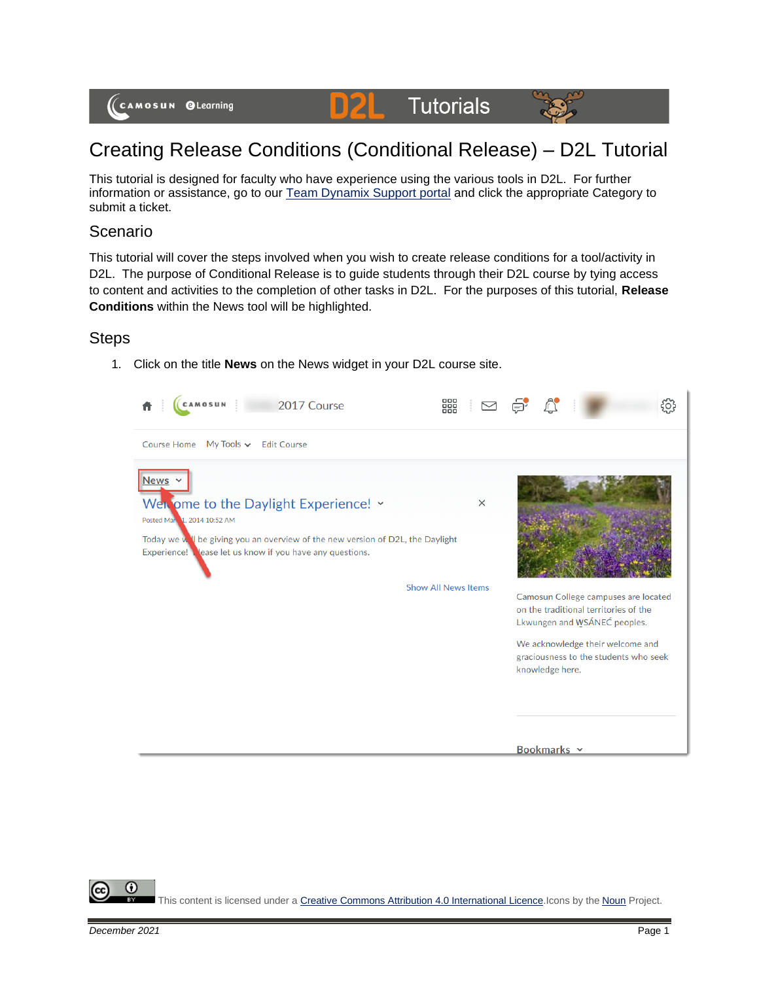

#### **DYZLE Tutorials**



# Creating Release Conditions (Conditional Release) – D2L Tutorial

This tutorial is designed for faculty who have experience using the various tools in D2L. For further information or assistance, go to our [Team Dynamix Support portal](https://camosun.teamdynamix.com/TDClient/67/Portal/Requests/ServiceCatalog?CategoryID=523) and click the appropriate Category to submit a ticket.

#### Scenario

This tutorial will cover the steps involved when you wish to create release conditions for a tool/activity in D2L. The purpose of Conditional Release is to guide students through their D2L course by tying access to content and activities to the completion of other tasks in D2L. For the purposes of this tutorial, **Release Conditions** within the News tool will be highlighted.

### **Steps**

1. Click on the title **News** on the News widget in your D2L course site.



⋒ This content is licensed under [a Creative Commons Attribution 4.0 International Licence.I](https://creativecommons.org/licenses/by/4.0/)cons by the [Noun](https://creativecommons.org/website-icons/) Project.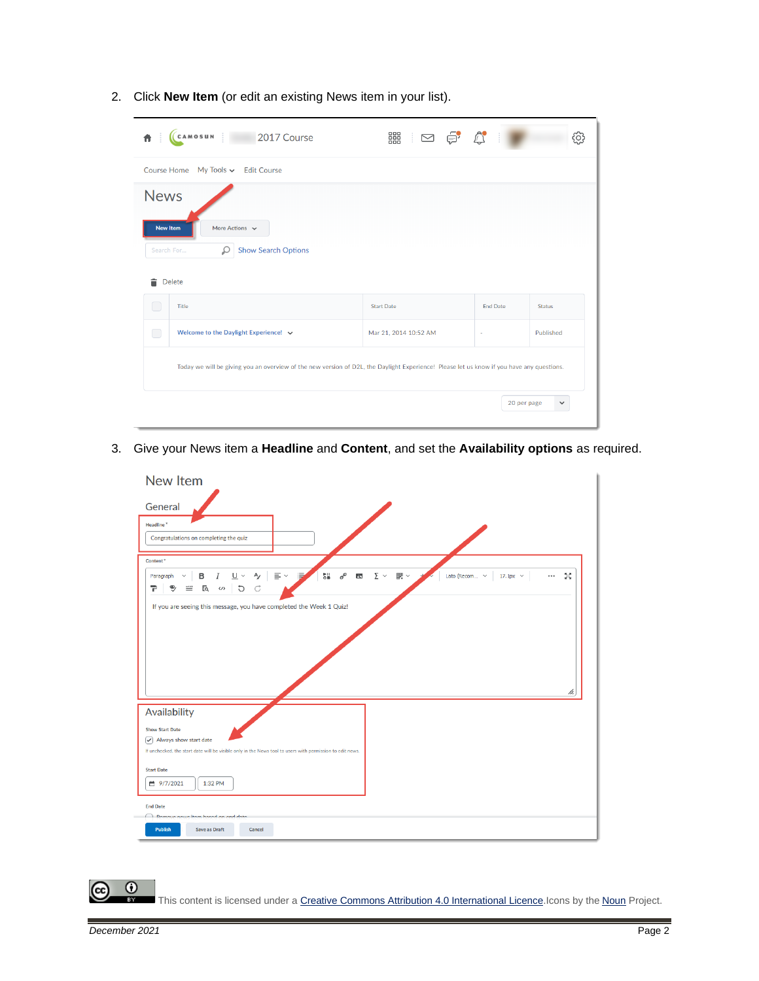| CAMOSUN<br>2017 Course<br>青.                                                                                                              | 器   ∞ ● ☆             |                 | ò,            |
|-------------------------------------------------------------------------------------------------------------------------------------------|-----------------------|-----------------|---------------|
| Course Home My Tools v Edit Course                                                                                                        |                       |                 |               |
| <b>News</b>                                                                                                                               |                       |                 |               |
| <b>New Item</b><br>More Actions $\sim$<br><b>Show Search Options</b><br>Search For<br>₽                                                   |                       |                 |               |
| 貪<br><b>Delete</b>                                                                                                                        |                       |                 |               |
| $\Box$<br>Title                                                                                                                           | <b>Start Date</b>     | <b>End Date</b> | <b>Status</b> |
| $\Box$<br>Welcome to the Daylight Experience! $\sim$                                                                                      | Mar 21, 2014 10:52 AM | ٠               | Published     |
| Today we will be giving you an overview of the new version of D2L, the Daylight Experience! Please let us know if you have any questions. |                       |                 |               |
|                                                                                                                                           |                       | 20 per page     | $\checkmark$  |

2. Click **New Item** (or edit an existing News item in your list).

3. Give your News item a **Headline** and **Content**, and set the **Availability options** as required.



 $\odot$ This content is licensed under [a Creative Commons Attribution 4.0 International Licence.I](https://creativecommons.org/licenses/by/4.0/)cons by the [Noun](https://creativecommons.org/website-icons/) Project.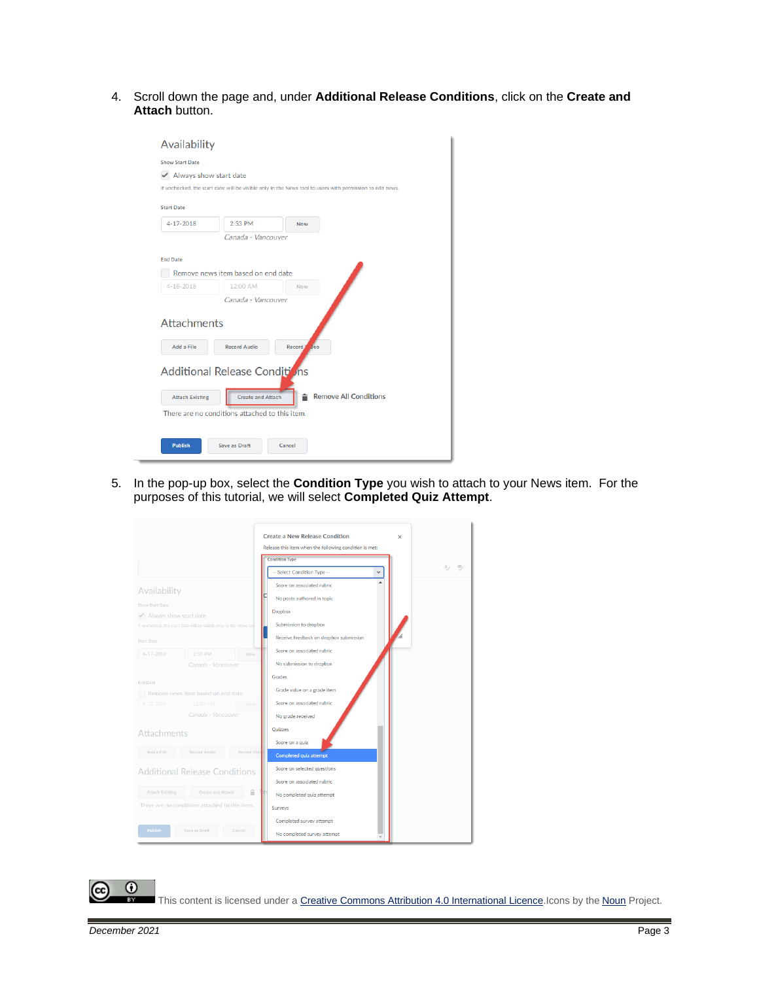4. Scroll down the page and, under **Additional Release Conditions**, click on the **Create and Attach** button.

| Availability                                     |                                                |            |                                                                                                           |
|--------------------------------------------------|------------------------------------------------|------------|-----------------------------------------------------------------------------------------------------------|
| <b>Show Start Date</b><br>Always show start date |                                                |            | If unchecked, the start date will be visible only in the News tool to users with permission to edit news. |
| <b>Start Date</b>                                |                                                |            |                                                                                                           |
| 4-17-2018                                        | 2:53 PM                                        | <b>Now</b> |                                                                                                           |
|                                                  | Canada - Vancouver                             |            |                                                                                                           |
| <b>End Date</b>                                  |                                                |            |                                                                                                           |
|                                                  | Remove news item based on end date             |            |                                                                                                           |
| 4-18-2018                                        | 12:00 AM                                       | Now        |                                                                                                           |
|                                                  | Canada - Vancouver                             |            |                                                                                                           |
| <b>Attachments</b>                               |                                                |            |                                                                                                           |
| Add a File                                       | <b>Record Audio</b>                            | Record J   | deo                                                                                                       |
|                                                  | Additional Release Conditions                  |            |                                                                                                           |
| <b>Attach Existing</b>                           | <b>Create and Attach</b>                       |            | <b>Remove All Conditions</b>                                                                              |
|                                                  | There are no conditions attached to this item. |            |                                                                                                           |
| <b>Publish</b>                                   | <b>Save as Draft</b>                           | Cancel     |                                                                                                           |

5. In the pop-up box, select the **Condition Type** you wish to attach to your News item. For the purposes of this tutorial, we will select **Completed Quiz Attempt**.

|                        |                                                                   |                    | <b>Create a New Release Condition</b><br>$\times$      |
|------------------------|-------------------------------------------------------------------|--------------------|--------------------------------------------------------|
|                        |                                                                   |                    | Release this item when the following condition is met: |
|                        |                                                                   |                    | <b>Condition Type</b>                                  |
|                        |                                                                   |                    | -- Select Condition Type --<br>$\checkmark$            |
| Availability           |                                                                   |                    | Score on associated rubric                             |
|                        |                                                                   |                    | No posts authored in topic                             |
| <b>Show Start Date</b> |                                                                   |                    | <b>Dropbox</b>                                         |
| Always show start date | If unchecked, the start date will be visible only in the News too |                    | Submission to dropbox                                  |
| <b>Start Date</b>      |                                                                   |                    | Receive feedback on dropbox submission                 |
| 4-17-2018              | $2:53$ PM                                                         | Now                | Score on associated rubric                             |
|                        | Canada - Vancouver                                                |                    | No submission to dropbox                               |
| <b>End Date</b>        |                                                                   |                    | Grades                                                 |
|                        | Remove news item based on end date                                |                    | Grade value on a grade item                            |
| 4-18-2018              | 12:00 AM                                                          | Now                | Score on associated rubric                             |
|                        | Canada - Vancouver                                                |                    | No grade received                                      |
| Attachments            |                                                                   |                    | Quizzes                                                |
|                        |                                                                   |                    | Score on a quiz                                        |
| Add a File             | Record Audio                                                      | <b>Record Vide</b> | <b>Completed quiz attempt</b>                          |
|                        | <b>Additional Release Conditions</b>                              |                    | Score on selected questions                            |
|                        |                                                                   |                    | Score on associated rubric                             |
| <b>Attach Existing</b> | Create and Attach                                                 | Ė                  | No completed quiz attempt                              |
|                        | There are no conditions attached to this item.                    |                    | Surveys                                                |
|                        |                                                                   |                    | Completed survey attempt                               |
| <b>Publish</b>         | Save as Draft                                                     | Cancel             | No completed survey attempt                            |

 $\overline{0}$ (cc

This content is licensed under [a Creative Commons Attribution 4.0 International Licence.I](https://creativecommons.org/licenses/by/4.0/)cons by the [Noun](https://creativecommons.org/website-icons/) Project.